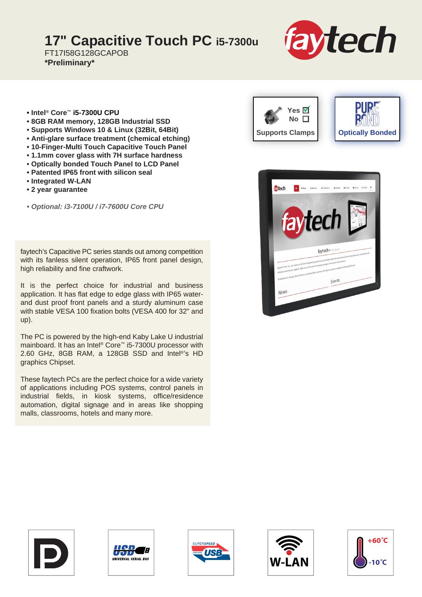## **17" Capacitive Touch PC i5-7300u**

FT17I58G128GCAPOB **\*Preliminary\***



- **Intel® Core™ i5-7300U CPU**
- **8GB RAM memory, 128GB Industrial SSD**
- **Supports Windows 10 & Linux (32Bit, 64Bit)**
- **Anti-glare surface treatment (chemical etching)**
- **10-Finger-Multi Touch Capacitive Touch Panel**
- **1.1mm cover glass with 7H surface hardness**
- **Optically bonded Touch Panel to LCD Panel**
- **Patented IP65 front with silicon seal**
- **Integrated W-LAN**
- **2 year guarantee**

*• Optional: i3-7100U / i7-7600U Core CPU*

faytech's Capacitive PC series stands out among competition with its fanless silent operation, IP65 front panel design, high reliability and fine craftwork.

It is the perfect choice for industrial and business application. It has flat edge to edge glass with IP65 waterand dust proof front panels and a sturdy aluminum case with stable VESA 100 fixation bolts (VESA 400 for 32" and up).

The PC is powered by the high-end Kaby Lake U industrial mainboard. It has an Intel® Core™ i5-7300U processor with 2.60 GHz, 8GB RAM, a 128GB SSD and Intel®'s HD graphics Chipset.

These faytech PCs are the perfect choice for a wide variety of applications including POS systems, control panels in industrial fields, in kiosk systems, office/residence automation, digital signage and in areas like shopping malls, classrooms, hotels and many more.